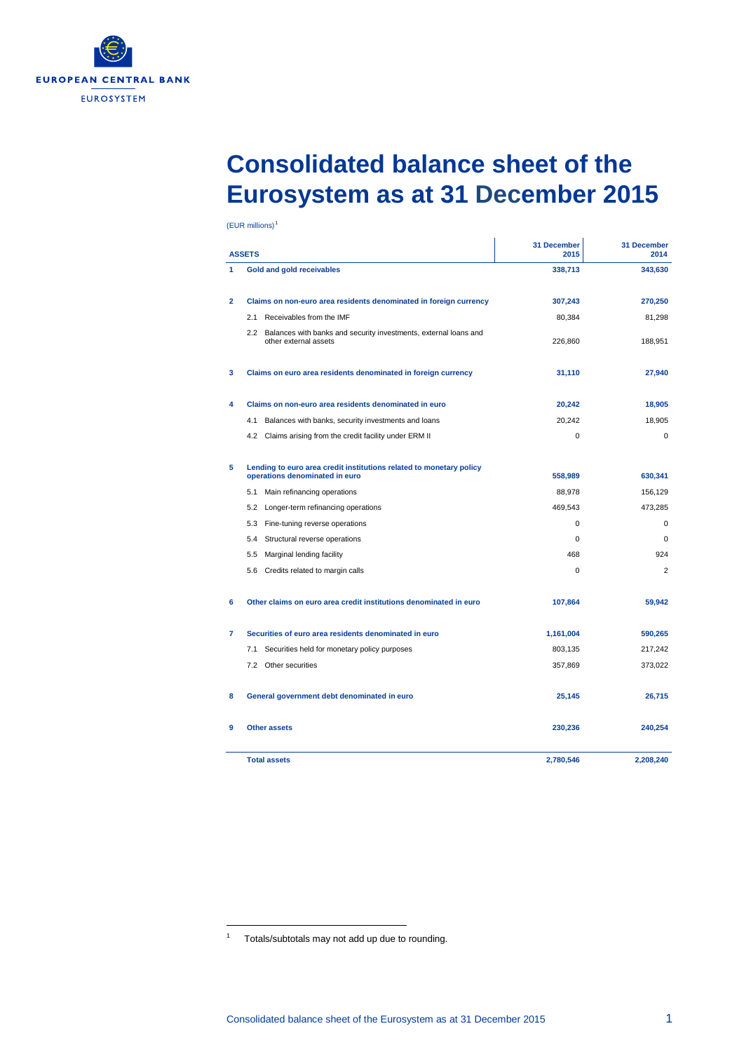

## **Consolidated balance sheet of the Eurosystem as at 31 December 2015**

| <b>ASSETS</b> |                                                                                                       | 31 December<br>2015 | 31 December<br>2014 |
|---------------|-------------------------------------------------------------------------------------------------------|---------------------|---------------------|
| 1             | <b>Gold and gold receivables</b>                                                                      | 338,713             | 343,630             |
| $\mathbf{2}$  | Claims on non-euro area residents denominated in foreign currency                                     | 307,243             | 270,250             |
|               | 2.1 Receivables from the IMF                                                                          | 80,384              | 81,298              |
|               | 2.2 Balances with banks and security investments, external loans and<br>other external assets         | 226,860             | 188,951             |
| 3             | Claims on euro area residents denominated in foreign currency                                         | 31,110              | 27,940              |
| 4             | Claims on non-euro area residents denominated in euro                                                 | 20,242              | 18,905              |
|               | Balances with banks, security investments and loans<br>4.1                                            | 20,242              | 18,905              |
|               | 4.2 Claims arising from the credit facility under ERM II                                              | $\mathbf 0$         | $\mathbf 0$         |
| 5             | Lending to euro area credit institutions related to monetary policy<br>operations denominated in euro | 558,989             | 630,341             |
|               | Main refinancing operations<br>5.1                                                                    | 88,978              | 156,129             |
|               | 5.2<br>Longer-term refinancing operations                                                             | 469,543             | 473,285             |
|               | 5.3<br>Fine-tuning reverse operations                                                                 | 0                   | $\mathbf 0$         |
|               | 5.4 Structural reverse operations                                                                     | 0                   | $\mathbf 0$         |
|               | 5.5<br>Marginal lending facility                                                                      | 468                 | 924                 |
|               | 5.6 Credits related to margin calls                                                                   | 0                   | $\overline{2}$      |
| 6             | Other claims on euro area credit institutions denominated in euro                                     | 107,864             | 59,942              |
| 7             | Securities of euro area residents denominated in euro                                                 | 1,161,004           | 590,265             |
|               | Securities held for monetary policy purposes<br>7.1                                                   | 803,135             | 217,242             |
|               | 7.2 Other securities                                                                                  | 357,869             | 373,022             |
| 8             | General government debt denominated in euro                                                           | 25,145              | 26,715              |
| 9             | <b>Other assets</b>                                                                                   | 230,236             | 240,254             |
|               | <b>Total assets</b>                                                                                   | 2,780,546           | 2,208,240           |

-

<span id="page-0-1"></span><span id="page-0-0"></span><sup>1</sup> Totals/subtotals may not add up due to rounding.